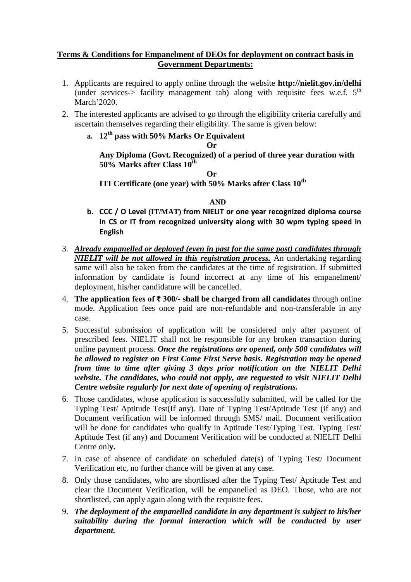## **Terms & Conditions for Empanelment of DEOs for deployment on contract basis in Government Departments:**

- 1. Applicants are required to apply online through the website **http://nielit.gov.in/delhi**  (under services-> facility management tab) along with requisite fees w.e.f.  $5<sup>th</sup>$ March'2020.
- 2. The interested applicants are advised to go through the eligibility criteria carefully and ascertain themselves regarding their eligibility. The same is given below:
	- **a. 12th pass with 50% Marks Or Equivalent**

**Or**

**Any Diploma (Govt. Recognized) of a period of three year duration with 50% Marks after Class 10th**

**Or**

**ITI Certificate (one year) with 50% Marks after Class 10th** 

## **AND**

- **b. CCC / O Level (IT/MAT) from NIELIT or one year recognized diploma course in CS or IT from recognized university along with 30 wpm typing speed in English**
- 3. *Already empanelled or deployed (even in past for the same post) candidates through NIELIT will be not allowed in this registration process.* An undertaking regarding same will also be taken from the candidates at the time of registration. If submitted information by candidate is found incorrect at any time of his empanelment/ deployment, his/her candidature will be cancelled.
- 4. **The application fees of ₹ 300/- shall be charged from all candidates** through online mode. Application fees once paid are non-refundable and non-transferable in any case.
- 5. Successful submission of application will be considered only after payment of prescribed fees. NIELIT shall not be responsible for any broken transaction during online payment process. *Once the registrations are opened, only 500 candidates will be allowed to register on First Come First Serve basis. Registration may be opened from time to time after giving 3 days prior notification on the NIELIT Delhi website. The candidates, who could not apply, are requested to visit NIELIT Delhi Centre website regularly for next date of opening of registrations.*
- 6. Those candidates, whose application is successfully submitted, will be called for the Typing Test/ Aptitude Test(If any). Date of Typing Test/Aptitude Test (if any) and Document verification will be informed through SMS/ mail. Document verification will be done for candidates who qualify in Aptitude Test/Typing Test. Typing Test/ Aptitude Test (if any) and Document Verification will be conducted at NIELIT Delhi Centre onl**y.**
- 7. In case of absence of candidate on scheduled date(s) of Typing Test/ Document Verification etc, no further chance will be given at any case.
- 8. Only those candidates, who are shortlisted after the Typing Test/ Aptitude Test and clear the Document Verification, will be empanelled as DEO. Those, who are not shortlisted, can apply again along with the requisite fees.
- 9. *The deployment of the empanelled candidate in any department is subject to his/her suitability during the formal interaction which will be conducted by user department.*